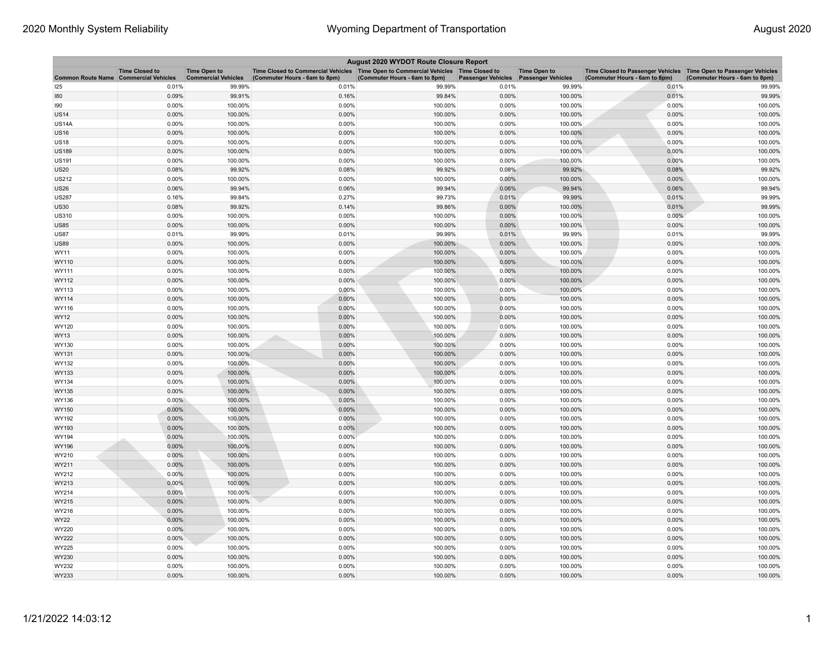| August 2020 WYDOT Route Closure Report       |                       |                                                   |                                                                                                                         |                               |                           |                                                  |                                                                                                      |                               |  |
|----------------------------------------------|-----------------------|---------------------------------------------------|-------------------------------------------------------------------------------------------------------------------------|-------------------------------|---------------------------|--------------------------------------------------|------------------------------------------------------------------------------------------------------|-------------------------------|--|
| <b>Common Route Name Commercial Vehicles</b> | <b>Time Closed to</b> | <b>Time Open to</b><br><b>Commercial Vehicles</b> | Time Closed to Commercial Vehicles   Time Open to Commercial Vehicles   Time Closed to<br>(Commuter Hours - 6am to 8pm) | (Commuter Hours - 6am to 8pm) | <b>Passenger Vehicles</b> | <b>Time Open to</b><br><b>Passenger Vehicles</b> | Time Closed to Passenger Vehicles   Time Open to Passenger Vehicles<br>(Commuter Hours - 6am to 8pm) | (Commuter Hours - 6am to 8pm) |  |
| 125                                          | 0.01%                 | 99.99%                                            | 0.01%                                                                                                                   | 99.99%                        | 0.01%                     | 99.99%                                           | 0.01%                                                                                                | 99.99%                        |  |
| 180                                          | 0.09%                 | 99.91%                                            | 0.16%                                                                                                                   | 99.84%                        | 0.00%                     | 100.00%                                          | 0.01%                                                                                                | 99.99%                        |  |
| 190                                          | 0.00%                 | 100.00%                                           | 0.00%                                                                                                                   | 100.00%                       | 0.00%                     | 100.00%                                          | 0.00%                                                                                                | 100.00%                       |  |
| <b>US14</b>                                  | 0.00%                 | 100.00%                                           | 0.00%                                                                                                                   | 100.00%                       | 0.00%                     | 100.00%                                          | 0.00%                                                                                                | 100.00%                       |  |
| US14A                                        | 0.00%                 | 100.00%                                           | 0.00%                                                                                                                   | 100.00%                       | 0.00%                     | 100.00%                                          | 0.00%                                                                                                | 100.00%                       |  |
| <b>US16</b>                                  | 0.00%                 | 100.00%                                           | 0.00%                                                                                                                   | 100.00%                       | 0.00%                     | 100.00%                                          | 0.00%                                                                                                | 100.00%                       |  |
| <b>US18</b>                                  | 0.00%                 | 100.00%                                           | 0.00%                                                                                                                   | 100.00%                       | 0.00%                     | 100.00%                                          | 0.00%                                                                                                | 100.00%                       |  |
| US189                                        | 0.00%                 | 100.00%                                           | 0.00%                                                                                                                   | 100.00%                       | 0.00%                     | 100.00%                                          | 0.00%                                                                                                | 100.00%                       |  |
| US191                                        | 0.00%                 | 100.00%                                           | 0.00%                                                                                                                   | 100.00%                       | 0.00%                     | 100.00%                                          | 0.00%                                                                                                | 100.00%                       |  |
| <b>US20</b>                                  | 0.08%                 | 99.92%                                            | 0.08%                                                                                                                   | 99.92%                        | 0.08%                     | 99.92%                                           | 0.08%                                                                                                | 99.92%                        |  |
| US212                                        | 0.00%                 | 100.00%                                           | 0.00%                                                                                                                   | 100.00%                       | 0.00%                     | 100.00%                                          | 0.00%                                                                                                | 100.00%                       |  |
| <b>US26</b>                                  | 0.06%                 | 99.94%                                            | 0.06%                                                                                                                   | 99.94%                        | 0.06%                     | 99.94%                                           | 0.06%                                                                                                | 99.94%                        |  |
| <b>US287</b>                                 | 0.16%                 | 99.84%                                            | 0.27%                                                                                                                   | 99.73%                        | 0.01%                     | 99.99%                                           | 0.01%                                                                                                | 99.99%                        |  |
| US30                                         | 0.08%                 | 99.92%                                            | 0.14%                                                                                                                   | 99.86%                        | 0.00%                     | 100.00%                                          | 0.01%                                                                                                | 99.99%                        |  |
| US310                                        | 0.00%                 | 100.00%                                           | 0.00%                                                                                                                   | 100.00%                       | 0.00%                     | 100.00%                                          | 0.00%                                                                                                | 100.00%                       |  |
| <b>US85</b>                                  | 0.00%                 | 100.00%                                           | 0.00%                                                                                                                   | 100.00%                       | 0.00%                     | 100.00%                                          | 0.00%                                                                                                | 100.00%                       |  |
| <b>US87</b>                                  | 0.01%                 | 99.99%                                            | 0.01%                                                                                                                   | 99.99%                        | 0.01%                     | 99.99%                                           | 0.01%                                                                                                | 99.99%                        |  |
| US89                                         | 0.00%                 | 100.00%                                           | 0.00%                                                                                                                   | 100.00%                       | 0.00%                     | 100.00%                                          | 0.00%                                                                                                | 100.00%                       |  |
| WY11                                         | 0.00%                 | 100.00%                                           | 0.00%                                                                                                                   | 100.00%                       | 0.00%                     | 100.00%                                          | 0.00%                                                                                                | 100.00%                       |  |
| WY110                                        | 0.00%                 | 100.00%                                           | 0.00%                                                                                                                   | 100.00%                       | 0.00%                     | 100.00%                                          | 0.00%                                                                                                | 100.00%                       |  |
| WY111                                        | 0.00%                 | 100.00%                                           | 0.00%                                                                                                                   | 100.00%                       | 0.00%                     | 100.00%                                          | 0.00%                                                                                                | 100.00%                       |  |
| WY112                                        | 0.00%                 | 100.00%                                           | 0.00%                                                                                                                   | 100.00%                       | 0.00%                     | 100.00%                                          | 0.00%                                                                                                | 100.00%                       |  |
| WY113                                        | 0.00%                 | 100.00%                                           | 0.00%                                                                                                                   | 100.00%                       | 0.00%                     | 100.00%                                          | 0.00%                                                                                                | 100.00%                       |  |
| <b>WY114</b>                                 | 0.00%                 | 100.00%                                           | 0.00%                                                                                                                   | 100.00%                       | 0.00%                     | 100.00%                                          | 0.00%                                                                                                | 100.00%                       |  |
| WY116                                        | 0.00%                 | 100.00%                                           | 0.00%                                                                                                                   | 100.00%                       | 0.00%                     | 100.00%                                          | 0.00%                                                                                                | 100.00%                       |  |
| WY12                                         | 0.00%                 | 100.00%                                           | 0.00%                                                                                                                   | 100.00%                       | 0.00%                     | 100.00%                                          | 0.00%                                                                                                | 100.00%                       |  |
| WY120                                        | 0.00%                 | 100.00%                                           | 0.00%                                                                                                                   | 100.00%                       | 0.00%                     | 100.00%                                          | 0.00%                                                                                                | 100.00%                       |  |
| <b>WY13</b>                                  | 0.00%                 | 100.00%                                           | 0.00%                                                                                                                   | 100.00%                       | 0.00%                     | 100.00%                                          | 0.00%                                                                                                | 100.00%                       |  |
| WY130                                        | 0.00%                 | 100.00%                                           | 0.00%                                                                                                                   | 100.00%                       | 0.00%                     | 100.00%                                          | 0.00%                                                                                                | 100.00%                       |  |
| WY131<br>WY132                               | 0.00%<br>0.00%        | 100.00%<br>100.00%                                | 0.00%<br>0.00%                                                                                                          | 100.00%<br>100.00%            | 0.00%<br>0.00%            | 100.00%<br>100.00%                               | 0.00%<br>0.00%                                                                                       | 100.00%<br>100.00%            |  |
| WY133                                        | 0.00%                 | 100.00%                                           | 0.00%                                                                                                                   | 100.00%                       | 0.00%                     | 100.00%                                          | 0.00%                                                                                                | 100.00%                       |  |
| WY134                                        | 0.00%                 | 100.00%                                           | 0.00%                                                                                                                   | 100.00%                       | 0.00%                     | 100.00%                                          | 0.00%                                                                                                | 100.00%                       |  |
| WY135                                        | 0.00%                 | 100.00%                                           | 0.00%                                                                                                                   | 100.00%                       | 0.00%                     | 100.00%                                          | 0.00%                                                                                                | 100.00%                       |  |
| WY136                                        | $0.00\%$              | 100.00%                                           | 0.00%                                                                                                                   | 100.00%                       | 0.00%                     | 100.00%                                          | 0.00%                                                                                                | 100.00%                       |  |
| WY150                                        | 0.00%                 | 100.00%                                           | 0.00%                                                                                                                   | 100.00%                       | 0.00%                     | 100.00%                                          | 0.00%                                                                                                | 100.00%                       |  |
| WY192                                        | 0.00%                 | 100.00%                                           | 0.00%                                                                                                                   | 100.00%                       | 0.00%                     | 100.00%                                          | 0.00%                                                                                                | 100.00%                       |  |
| WY193                                        | 0.00%                 | 100.00%                                           | 0.00%                                                                                                                   | 100.00%                       | 0.00%                     | 100.00%                                          | 0.00%                                                                                                | 100.00%                       |  |
| WY194                                        | 0.00%                 | 100.00%                                           | 0.00%                                                                                                                   | 100.00%                       | 0.00%                     | 100.00%                                          | 0.00%                                                                                                | 100.00%                       |  |
| WY196                                        | 0.00%                 | 100.00%                                           | 0.00%                                                                                                                   | 100.00%                       | 0.00%                     | 100.00%                                          | 0.00%                                                                                                | 100.00%                       |  |
| WY210                                        | 0.00%                 | 100.00%                                           | 0.00%                                                                                                                   | 100.00%                       | 0.00%                     | 100.00%                                          | 0.00%                                                                                                | 100.00%                       |  |
| WY211                                        | 0.00%                 | 100.00%                                           | 0.00%                                                                                                                   | 100.00%                       | 0.00%                     | 100.00%                                          | 0.00%                                                                                                | 100.00%                       |  |
| WY212                                        | 0.00%                 | 100.00%                                           | 0.00%                                                                                                                   | 100.00%                       | 0.00%                     | 100.00%                                          | 0.00%                                                                                                | 100.00%                       |  |
| WY213                                        | 0.00%                 | 100.00%                                           | 0.00%                                                                                                                   | 100.00%                       | 0.00%                     | 100.00%                                          | 0.00%                                                                                                | 100.00%                       |  |
| WY214                                        | 0.00%                 | 100.00%                                           | 0.00%                                                                                                                   | 100.00%                       | 0.00%                     | 100.00%                                          | 0.00%                                                                                                | 100.00%                       |  |
| WY215                                        | 0.00%                 | 100.00%                                           | 0.00%                                                                                                                   | 100.00%                       | 0.00%                     | 100.00%                                          | 0.00%                                                                                                | 100.00%                       |  |
| WY216                                        | 0.00%                 | 100.00%                                           | 0.00%                                                                                                                   | 100.00%                       | 0.00%                     | 100.00%                                          | 0.00%                                                                                                | 100.00%                       |  |
| WY22                                         | 0.00%                 | 100.00%                                           | 0.00%                                                                                                                   | 100.00%                       | 0.00%                     | 100.00%                                          | 0.00%                                                                                                | 100.00%                       |  |
| <b>WY220</b>                                 | 0.00%                 | 100.00%                                           | 0.00%                                                                                                                   | 100.00%                       | 0.00%                     | 100.00%                                          | 0.00%                                                                                                | 100.00%                       |  |
| WY222                                        | 0.00%                 | 100.00%                                           | 0.00%                                                                                                                   | 100.00%                       | 0.00%                     | 100.00%                                          | 0.00%                                                                                                | 100.00%                       |  |
| WY225                                        | 0.00%                 | 100.00%                                           | 0.00%                                                                                                                   | 100.00%                       | 0.00%                     | 100.00%                                          | 0.00%                                                                                                | 100.00%                       |  |
| WY230                                        | 0.00%                 | 100.00%                                           | 0.00%                                                                                                                   | 100.00%                       | 0.00%                     | 100.00%                                          | 0.00%                                                                                                | 100.00%                       |  |
| <b>WY232</b>                                 | 0.00%                 | 100.00%                                           | 0.00%                                                                                                                   | 100.00%                       | 0.00%                     | 100.00%                                          | 0.00%                                                                                                | 100.00%                       |  |
| WY233                                        | 0.00%                 | 100.00%                                           | 0.00%                                                                                                                   | 100.00%                       | 0.00%                     | 100.00%                                          | 0.00%                                                                                                | 100.00%                       |  |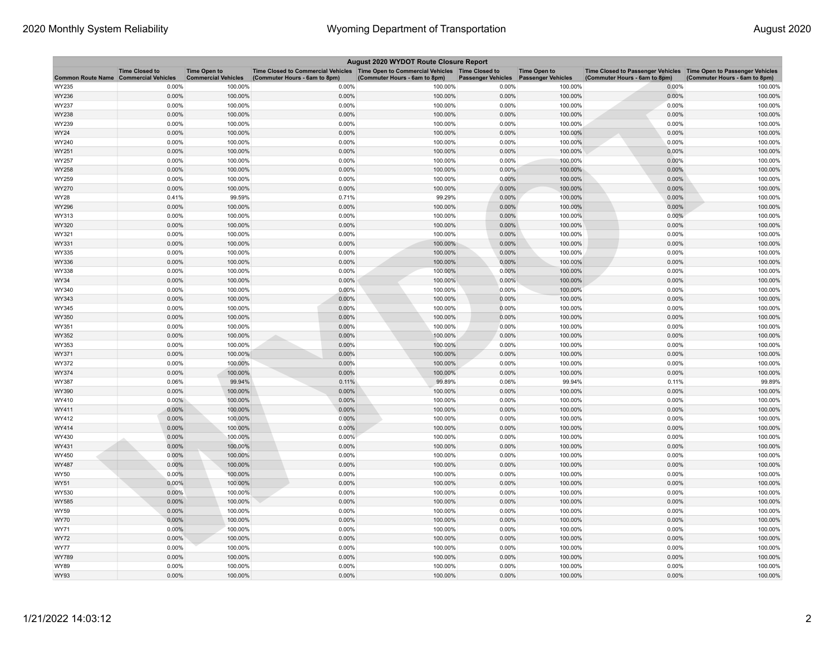| August 2020 WYDOT Route Closure Report       |                       |                                                   |                                                                                                                       |                               |                           |                                                  |                                                                                                    |                               |  |
|----------------------------------------------|-----------------------|---------------------------------------------------|-----------------------------------------------------------------------------------------------------------------------|-------------------------------|---------------------------|--------------------------------------------------|----------------------------------------------------------------------------------------------------|-------------------------------|--|
| <b>Common Route Name Commercial Vehicles</b> | <b>Time Closed to</b> | <b>Time Open to</b><br><b>Commercial Vehicles</b> | Time Closed to Commercial Vehicles  Time Open to Commercial Vehicles  Time Closed to<br>(Commuter Hours - 6am to 8pm) | (Commuter Hours - 6am to 8pm) | <b>Passenger Vehicles</b> | <b>Time Open to</b><br><b>Passenger Vehicles</b> | Time Closed to Passenger Vehicles Time Open to Passenger Vehicles<br>(Commuter Hours - 6am to 8pm) | (Commuter Hours - 6am to 8pm) |  |
| WY235                                        | 0.00%                 | 100.00%                                           | 0.00%                                                                                                                 | 100.00%                       | 0.00%                     | 100.00%                                          | 0.00%                                                                                              | 100.00%                       |  |
| WY236                                        | 0.00%                 | 100.00%                                           | 0.00%                                                                                                                 | 100.00%                       | 0.00%                     | 100.00%                                          | 0.00%                                                                                              | 100.00%                       |  |
| WY237                                        | 0.00%                 | 100.00%                                           | 0.00%                                                                                                                 | 100.00%                       | 0.00%                     | 100.00%                                          | 0.00%                                                                                              | 100.00%                       |  |
| WY238                                        | 0.00%                 | 100.00%                                           | 0.00%                                                                                                                 | 100.00%                       | 0.00%                     | 100.00%                                          | 0.00%                                                                                              | 100.00%                       |  |
| WY239                                        | 0.00%                 | 100.00%                                           | 0.00%                                                                                                                 | 100.00%                       | 0.00%                     | 100.00%                                          | 0.00%                                                                                              | 100.00%                       |  |
| WY24                                         | 0.00%                 | 100.00%                                           | 0.00%                                                                                                                 | 100.00%                       | 0.00%                     | 100.00%                                          | 0.00%                                                                                              | 100.00%                       |  |
| WY240                                        | 0.00%                 | 100.00%                                           | 0.00%                                                                                                                 | 100.00%                       | 0.00%                     | 100.00%                                          | 0.00%                                                                                              | 100.00%                       |  |
| WY251                                        | 0.00%                 | 100.00%                                           | 0.00%                                                                                                                 | 100.00%                       | 0.00%                     | 100.00%                                          | 0.00%                                                                                              | 100.00%                       |  |
| WY257                                        | 0.00%                 | 100.00%                                           | 0.00%                                                                                                                 | 100.00%                       | 0.00%                     | 100.00%                                          | 0.00%                                                                                              | 100.00%                       |  |
| WY258                                        | 0.00%                 | 100.00%                                           | 0.00%                                                                                                                 | 100.00%                       | 0.00%                     | 100.00%                                          | 0.00%                                                                                              | 100.00%                       |  |
| WY259                                        | 0.00%                 | 100.00%                                           | 0.00%                                                                                                                 | 100.00%                       | 0.00%                     | 100.00%                                          | 0.00%                                                                                              | 100.00%                       |  |
| WY270                                        | 0.00%                 | 100.00%                                           | 0.00%                                                                                                                 | 100.00%                       | 0.00%                     | 100.00%                                          | 0.00%                                                                                              | 100.00%                       |  |
| WY28                                         | 0.41%                 | 99.59%                                            | 0.71%                                                                                                                 | 99.29%                        | 0.00%                     | 100.00%                                          | 0.00%                                                                                              | 100.00%                       |  |
| WY296                                        | 0.00%                 | 100.00%                                           | 0.00%                                                                                                                 | 100.00%                       | 0.00%                     | 100.00%                                          | 0.00%                                                                                              | 100.00%                       |  |
| WY313                                        | 0.00%                 | 100.00%                                           | 0.00%                                                                                                                 | 100.00%                       | 0.00%                     | 100.00%                                          | 0.00%                                                                                              | 100.00%                       |  |
| WY320                                        | 0.00%                 | 100.00%                                           | 0.00%                                                                                                                 | 100.00%                       | 0.00%                     | 100.00%                                          | 0.00%                                                                                              | 100.00%                       |  |
| WY321                                        | 0.00%                 | 100.00%                                           | 0.00%                                                                                                                 | 100.00%                       | 0.00%                     | 100.00%                                          | 0.00%                                                                                              | 100.00%                       |  |
| WY331                                        | 0.00%                 | 100.00%                                           | 0.00%                                                                                                                 | 100.00%                       | 0.00%                     | 100.00%                                          | 0.00%                                                                                              | 100.00%                       |  |
| WY335                                        | 0.00%                 | 100.00%                                           | 0.00%                                                                                                                 | 100.00%                       | 0.00%                     | 100.00%                                          | 0.00%                                                                                              | 100.00%                       |  |
| WY336                                        | 0.00%                 | 100.00%                                           | 0.00%                                                                                                                 | 100.00%                       | 0.00%                     | 100.00%                                          | 0.00%                                                                                              | 100.00%                       |  |
| WY338                                        | 0.00%                 | 100.00%                                           | 0.00%                                                                                                                 | 100.00%                       | 0.00%                     | 100.00%                                          | 0.00%                                                                                              | 100.00%                       |  |
| WY34                                         | 0.00%                 | 100.00%                                           | 0.00%                                                                                                                 | 100.00%                       | 0.00%                     | 100.00%                                          | 0.00%                                                                                              | 100.00%                       |  |
| WY340                                        | 0.00%                 | 100.00%                                           | 0.00%                                                                                                                 | 100.00%                       | 0.00%                     | 100.00%                                          | 0.00%                                                                                              | 100.00%                       |  |
| WY343                                        | 0.00%                 | 100.00%                                           | 0.00%                                                                                                                 | 100.00%                       | 0.00%                     | 100.00%                                          | 0.00%                                                                                              | 100.00%                       |  |
| WY345                                        | 0.00%                 | 100.00%                                           | 0.00%                                                                                                                 | 100.00%                       | 0.00%                     | 100.00%                                          | 0.00%                                                                                              | 100.00%                       |  |
| WY350                                        | 0.00%                 | 100.00%                                           | 0.00%                                                                                                                 | 100.00%                       | 0.00%                     | 100.00%                                          | 0.00%                                                                                              | 100.00%                       |  |
| WY351                                        | 0.00%                 | 100.00%                                           | 0.00%                                                                                                                 | 100.00%                       | 0.00%                     | 100.00%                                          | 0.00%                                                                                              | 100.00%                       |  |
| WY352                                        | 0.00%                 | 100.00%                                           | 0.00%                                                                                                                 | 100.00%                       | 0.00%                     | 100.00%                                          | 0.00%                                                                                              | 100.00%                       |  |
| WY353                                        | 0.00%                 | 100.00%                                           | 0.00%<br>0.00%                                                                                                        | 100.00%                       | 0.00%                     | 100.00%                                          | 0.00%<br>0.00%                                                                                     | 100.00%                       |  |
| WY371                                        | 0.00%                 | 100.00%                                           | 0.00%                                                                                                                 | 100.00%                       | 0.00%                     | 100.00%                                          |                                                                                                    | 100.00%                       |  |
| WY372                                        | 0.00%                 | 100.00%                                           |                                                                                                                       | 100.00%                       | 0.00%                     | 100.00%                                          | 0.00%                                                                                              | 100.00%                       |  |
| WY374<br>WY387                               | 0.00%<br>0.06%        | 100.00%<br>99.94%                                 | 0.00%<br>0.11%                                                                                                        | 100.00%<br>99.89%             | 0.00%<br>0.06%            | 100.00%<br>99.94%                                | 0.00%<br>0.11%                                                                                     | 100.00%<br>99.89%             |  |
| WY390                                        | 0.00%                 | 100.00%                                           | 0.00%                                                                                                                 | 100.00%                       | 0.00%                     | 100.00%                                          | 0.00%                                                                                              | 100.00%                       |  |
|                                              | $0.00\%$              | 100.00%                                           | 0.00%                                                                                                                 | 100.00%                       | 0.00%                     | 100.00%                                          | 0.00%                                                                                              | 100.00%                       |  |
| WY410<br>WY411                               | 0.00%                 | 100.00%                                           | 0.00%                                                                                                                 | 100.00%                       | 0.00%                     | 100.00%                                          | 0.00%                                                                                              | 100.00%                       |  |
| WY412                                        | 0.00%                 | 100.00%                                           | 0.00%                                                                                                                 | 100.00%                       | 0.00%                     | 100.00%                                          | 0.00%                                                                                              | 100.00%                       |  |
| WY414                                        | 0.00%                 | 100.00%                                           | 0.00%                                                                                                                 | 100.00%                       | 0.00%                     | 100.00%                                          | 0.00%                                                                                              | 100.00%                       |  |
| WY430                                        | 0.00%                 | 100.00%                                           | 0.00%                                                                                                                 | 100.00%                       | 0.00%                     | 100.00%                                          | 0.00%                                                                                              | 100.00%                       |  |
| WY431                                        | 0.00%                 | 100.00%                                           | 0.00%                                                                                                                 | 100.00%                       | 0.00%                     | 100.00%                                          | 0.00%                                                                                              | 100.00%                       |  |
| WY450                                        | 0.00%                 | 100.00%                                           | 0.00%                                                                                                                 | 100.00%                       | 0.00%                     | 100.00%                                          | 0.00%                                                                                              | 100.00%                       |  |
| WY487                                        | 0.00%                 | 100.00%                                           | 0.00%                                                                                                                 | 100.00%                       | 0.00%                     | 100.00%                                          | 0.00%                                                                                              | 100.00%                       |  |
| WY50                                         | 0.00%                 | 100.00%                                           | 0.00%                                                                                                                 | 100.00%                       | 0.00%                     | 100.00%                                          | 0.00%                                                                                              | 100.00%                       |  |
| WY51                                         | 0.00%                 | 100.00%                                           | 0.00%                                                                                                                 | 100.00%                       | 0.00%                     | 100.00%                                          | 0.00%                                                                                              | 100.00%                       |  |
| WY530                                        | 0.00%                 | 100.00%                                           | 0.00%                                                                                                                 | 100.00%                       | 0.00%                     | 100.00%                                          | 0.00%                                                                                              | 100.00%                       |  |
| WY585                                        | 0.00%                 | 100.00%                                           | 0.00%                                                                                                                 | 100.00%                       | 0.00%                     | 100.00%                                          | 0.00%                                                                                              | 100.00%                       |  |
| WY59                                         | 0.00%                 | 100.00%                                           | 0.00%                                                                                                                 | 100.00%                       | 0.00%                     | 100.00%                                          | 0.00%                                                                                              | 100.00%                       |  |
| WY70                                         | 0.00%                 | 100.00%                                           | 0.00%                                                                                                                 | 100.00%                       | 0.00%                     | 100.00%                                          | 0.00%                                                                                              | 100.00%                       |  |
| WY71                                         | 0.00%                 | 100.00%                                           | 0.00%                                                                                                                 | 100.00%                       | 0.00%                     | 100.00%                                          | 0.00%                                                                                              | 100.00%                       |  |
| WY72                                         | 0.00%                 | 100.00%                                           | 0.00%                                                                                                                 | 100.00%                       | 0.00%                     | 100.00%                                          | 0.00%                                                                                              | 100.00%                       |  |
| WY77                                         | 0.00%                 | 100.00%                                           | 0.00%                                                                                                                 | 100.00%                       | 0.00%                     | 100.00%                                          | 0.00%                                                                                              | 100.00%                       |  |
| WY789                                        | 0.00%                 | 100.00%                                           | 0.00%                                                                                                                 | 100.00%                       | 0.00%                     | 100.00%                                          | 0.00%                                                                                              | 100.00%                       |  |
| WY89                                         | 0.00%                 | 100.00%                                           | 0.00%                                                                                                                 | 100.00%                       | 0.00%                     | 100.00%                                          | 0.00%                                                                                              | 100.00%                       |  |
| WY93                                         | 0.00%                 | 100.00%                                           | 0.00%                                                                                                                 | 100.00%                       | 0.00%                     | 100.00%                                          | 0.00%                                                                                              | 100.00%                       |  |